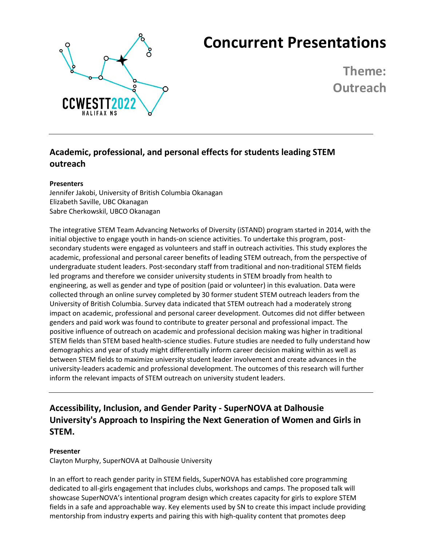

# **Concurrent Presentations**

**Theme: Outreach**

# **Academic, professional, and personal effects for students leading STEM outreach**

#### **Presenters**

Jennifer Jakobi, University of British Columbia Okanagan Elizabeth Saville, UBC Okanagan Sabre Cherkowskil, UBCO Okanagan

The integrative STEM Team Advancing Networks of Diversity (iSTAND) program started in 2014, with the initial objective to engage youth in hands-on science activities. To undertake this program, postsecondary students were engaged as volunteers and staff in outreach activities. This study explores the academic, professional and personal career benefits of leading STEM outreach, from the perspective of undergraduate student leaders. Post-secondary staff from traditional and non-traditional STEM fields led programs and therefore we consider university students in STEM broadly from health to engineering, as well as gender and type of position (paid or volunteer) in this evaluation. Data were collected through an online survey completed by 30 former student STEM outreach leaders from the University of British Columbia. Survey data indicated that STEM outreach had a moderately strong impact on academic, professional and personal career development. Outcomes did not differ between genders and paid work was found to contribute to greater personal and professional impact. The positive influence of outreach on academic and professional decision making was higher in traditional STEM fields than STEM based health-science studies. Future studies are needed to fully understand how demographics and year of study might differentially inform career decision making within as well as between STEM fields to maximize university student leader involvement and create advances in the university-leaders academic and professional development. The outcomes of this research will further inform the relevant impacts of STEM outreach on university student leaders.

**Accessibility, Inclusion, and Gender Parity - SuperNOVA at Dalhousie University's Approach to Inspiring the Next Generation of Women and Girls in STEM.**

#### **Presenter**

Clayton Murphy, SuperNOVA at Dalhousie University

In an effort to reach gender parity in STEM fields, SuperNOVA has established core programming dedicated to all-girls engagement that includes clubs, workshops and camps. The proposed talk will showcase SuperNOVA's intentional program design which creates capacity for girls to explore STEM fields in a safe and approachable way. Key elements used by SN to create this impact include providing mentorship from industry experts and pairing this with high-quality content that promotes deep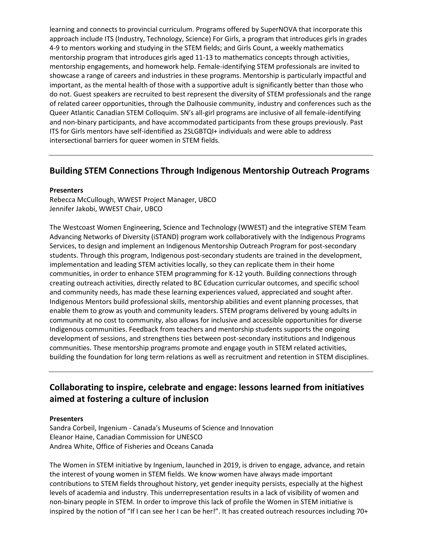learning and connects to provincial curriculum. Programs offered by SuperNOVA that incorporate this approach include ITS (Industry, Technology, Science) For Girls, a program that introduces girls in grades 4-9 to mentors working and studying in the STEM fields; and Girls Count, a weekly mathematics mentorship program that introduces girls aged 11-13 to mathematics concepts through activities, mentorship engagements, and homework help. Female-identifying STEM professionals are invited to showcase a range of careers and industries in these programs. Mentorship is particularly impactful and important, as the mental health of those with a supportive adult is significantly better than those who do not. Guest speakers are recruited to best represent the diversity of STEM professionals and the range of related career opportunities, through the Dalhousie community, industry and conferences such as the Queer Atlantic Canadian STEM Colloquim. SN's all-girl programs are inclusive of all female-identifying and non-binary participants, and have accommodated participants from these groups previously. Past ITS for Girls mentors have self-identified as 2SLGBTQI+ individuals and were able to address intersectional barriers for queer women in STEM fields.

### **Building STEM Connections Through Indigenous Mentorship Outreach Programs**

#### **Presenters**

Rebecca McCullough, WWEST Project Manager, UBCO Jennifer Jakobi, WWEST Chair, UBCO

The Westcoast Women Engineering, Science and Technology (WWEST) and the integrative STEM Team Advancing Networks of Diversity (iSTAND) program work collaboratively with the Indigenous Programs Services, to design and implement an Indigenous Mentorship Outreach Program for post-secondary students. Through this program, Indigenous post-secondary students are trained in the development, implementation and leading STEM activities locally, so they can replicate them in their home communities, in order to enhance STEM programming for K-12 youth. Building connections through creating outreach activities, directly related to BC Education curricular outcomes, and specific school and community needs, has made these learning experiences valued, appreciated and sought after. Indigenous Mentors build professional skills, mentorship abilities and event planning processes, that enable them to grow as youth and community leaders. STEM programs delivered by young adults in community at no cost to community, also allows for inclusive and accessible opportunities for diverse Indigenous communities. Feedback from teachers and mentorship students supports the ongoing development of sessions, and strengthens ties between post-secondary institutions and Indigenous communities. These mentorship programs promote and engage youth in STEM related activities, building the foundation for long term relations as well as recruitment and retention in STEM disciplines.

# **Collaborating to inspire, celebrate and engage: lessons learned from initiatives aimed at fostering a culture of inclusion**

#### **Presenters**

Sandra Corbeil, Ingenium - Canada's Museums of Science and Innovation Eleanor Haine, Canadian Commission for UNESCO Andrea White, Office of Fisheries and Oceans Canada

The Women in STEM initiative by Ingenium, launched in 2019, is driven to engage, advance, and retain the interest of young women in STEM fields. We know women have always made important contributions to STEM fields throughout history, yet gender inequity persists, especially at the highest levels of academia and industry. This underrepresentation results in a lack of visibility of women and non-binary people in STEM. In order to improve this lack of profile the Women in STEM initiative is inspired by the notion of "If I can see her I can be her!". It has created outreach resources including 70+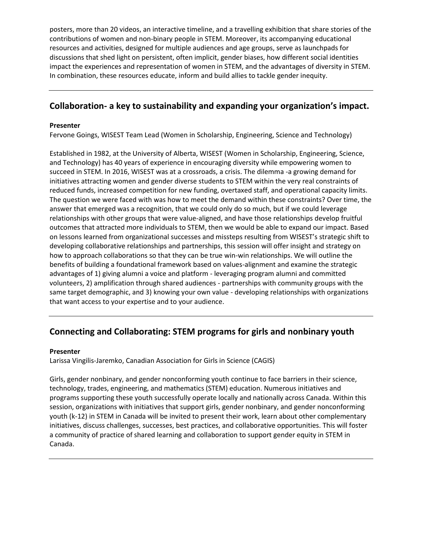posters, more than 20 videos, an interactive timeline, and a travelling exhibition that share stories of the contributions of women and non-binary people in STEM. Moreover, its accompanying educational resources and activities, designed for multiple audiences and age groups, serve as launchpads for discussions that shed light on persistent, often implicit, gender biases, how different social identities impact the experiences and representation of women in STEM, and the advantages of diversity in STEM. In combination, these resources educate, inform and build allies to tackle gender inequity.

### **Collaboration- a key to sustainability and expanding your organization's impact.**

#### **Presenter**

Fervone Goings, WISEST Team Lead (Women in Scholarship, Engineering, Science and Technology)

Established in 1982, at the University of Alberta, WISEST (Women in Scholarship, Engineering, Science, and Technology) has 40 years of experience in encouraging diversity while empowering women to succeed in STEM. In 2016, WISEST was at a crossroads, a crisis. The dilemma -a growing demand for initiatives attracting women and gender diverse students to STEM within the very real constraints of reduced funds, increased competition for new funding, overtaxed staff, and operational capacity limits. The question we were faced with was how to meet the demand within these constraints? Over time, the answer that emerged was a recognition, that we could only do so much, but if we could leverage relationships with other groups that were value-aligned, and have those relationships develop fruitful outcomes that attracted more individuals to STEM, then we would be able to expand our impact. Based on lessons learned from organizational successes and missteps resulting from WISEST's strategic shift to developing collaborative relationships and partnerships, this session will offer insight and strategy on how to approach collaborations so that they can be true win-win relationships. We will outline the benefits of building a foundational framework based on values-alignment and examine the strategic advantages of 1) giving alumni a voice and platform - leveraging program alumni and committed volunteers, 2) amplification through shared audiences - partnerships with community groups with the same target demographic, and 3) knowing your own value - developing relationships with organizations that want access to your expertise and to your audience.

### **Connecting and Collaborating: STEM programs for girls and nonbinary youth**

#### **Presenter**

Larissa Vingilis-Jaremko, Canadian Association for Girls in Science (CAGIS)

Girls, gender nonbinary, and gender nonconforming youth continue to face barriers in their science, technology, trades, engineering, and mathematics (STEM) education. Numerous initiatives and programs supporting these youth successfully operate locally and nationally across Canada. Within this session, organizations with initiatives that support girls, gender nonbinary, and gender nonconforming youth (k-12) in STEM in Canada will be invited to present their work, learn about other complementary initiatives, discuss challenges, successes, best practices, and collaborative opportunities. This will foster a community of practice of shared learning and collaboration to support gender equity in STEM in Canada.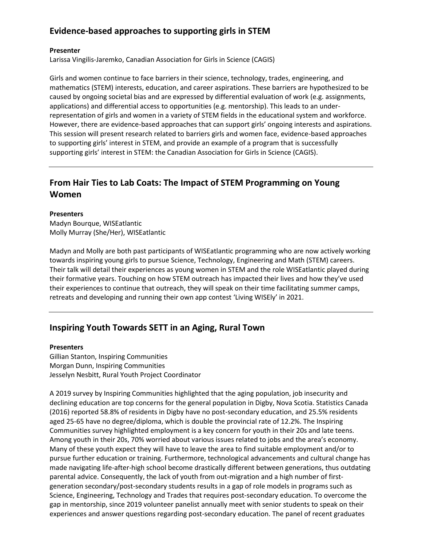# **Evidence-based approaches to supporting girls in STEM**

#### **Presenter**

Larissa Vingilis-Jaremko, Canadian Association for Girls in Science (CAGIS)

Girls and women continue to face barriers in their science, technology, trades, engineering, and mathematics (STEM) interests, education, and career aspirations. These barriers are hypothesized to be caused by ongoing societal bias and are expressed by differential evaluation of work (e.g. assignments, applications) and differential access to opportunities (e.g. mentorship). This leads to an underrepresentation of girls and women in a variety of STEM fields in the educational system and workforce. However, there are evidence-based approaches that can support girls' ongoing interests and aspirations. This session will present research related to barriers girls and women face, evidence-based approaches to supporting girls' interest in STEM, and provide an example of a program that is successfully supporting girls' interest in STEM: the Canadian Association for Girls in Science (CAGIS).

# **From Hair Ties to Lab Coats: The Impact of STEM Programming on Young Women**

#### **Presenters**

Madyn Bourque, WISEatlantic Molly Murray (She/Her), WISEatlantic

Madyn and Molly are both past participants of WISEatlantic programming who are now actively working towards inspiring young girls to pursue Science, Technology, Engineering and Math (STEM) careers. Their talk will detail their experiences as young women in STEM and the role WISEatlantic played during their formative years. Touching on how STEM outreach has impacted their lives and how they've used their experiences to continue that outreach, they will speak on their time facilitating summer camps, retreats and developing and running their own app contest 'Living WISEly' in 2021.

# **Inspiring Youth Towards SETT in an Aging, Rural Town**

#### **Presenters**

Gillian Stanton, Inspiring Communities Morgan Dunn, Inspiring Communities Jesselyn Nesbitt, Rural Youth Project Coordinator

A 2019 survey by Inspiring Communities highlighted that the aging population, job insecurity and declining education are top concerns for the general population in Digby, Nova Scotia. Statistics Canada (2016) reported 58.8% of residents in Digby have no post-secondary education, and 25.5% residents aged 25-65 have no degree/diploma, which is double the provincial rate of 12.2%. The Inspiring Communities survey highlighted employment is a key concern for youth in their 20s and late teens. Among youth in their 20s, 70% worried about various issues related to jobs and the area's economy. Many of these youth expect they will have to leave the area to find suitable employment and/or to pursue further education or training. Furthermore, technological advancements and cultural change has made navigating life-after-high school become drastically different between generations, thus outdating parental advice. Consequently, the lack of youth from out-migration and a high number of firstgeneration secondary/post-secondary students results in a gap of role models in programs such as Science, Engineering, Technology and Trades that requires post-secondary education. To overcome the gap in mentorship, since 2019 volunteer panelist annually meet with senior students to speak on their experiences and answer questions regarding post-secondary education. The panel of recent graduates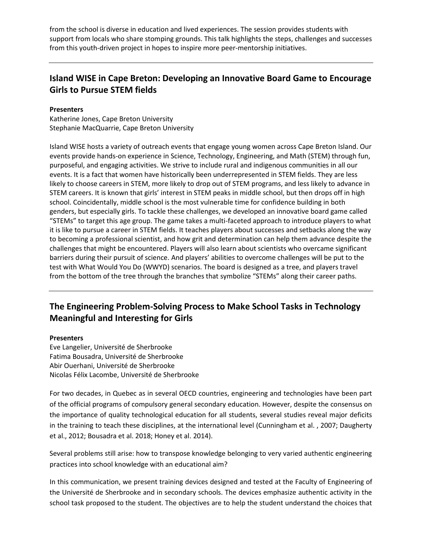from the school is diverse in education and lived experiences. The session provides students with support from locals who share stomping grounds. This talk highlights the steps, challenges and successes from this youth-driven project in hopes to inspire more peer-mentorship initiatives.

## **Island WISE in Cape Breton: Developing an Innovative Board Game to Encourage Girls to Pursue STEM fields**

#### **Presenters**

Katherine Jones, Cape Breton University Stephanie MacQuarrie, Cape Breton University

Island WISE hosts a variety of outreach events that engage young women across Cape Breton Island. Our events provide hands-on experience in Science, Technology, Engineering, and Math (STEM) through fun, purposeful, and engaging activities. We strive to include rural and indigenous communities in all our events. It is a fact that women have historically been underrepresented in STEM fields. They are less likely to choose careers in STEM, more likely to drop out of STEM programs, and less likely to advance in STEM careers. It is known that girls' interest in STEM peaks in middle school, but then drops off in high school. Coincidentally, middle school is the most vulnerable time for confidence building in both genders, but especially girls. To tackle these challenges, we developed an innovative board game called "STEMs" to target this age group. The game takes a multi-faceted approach to introduce players to what it is like to pursue a career in STEM fields. It teaches players about successes and setbacks along the way to becoming a professional scientist, and how grit and determination can help them advance despite the challenges that might be encountered. Players will also learn about scientists who overcame significant barriers during their pursuit of science. And players' abilities to overcome challenges will be put to the test with What Would You Do (WWYD) scenarios. The board is designed as a tree, and players travel from the bottom of the tree through the branches that symbolize "STEMs" along their career paths.

# **The Engineering Problem-Solving Process to Make School Tasks in Technology Meaningful and Interesting for Girls**

#### **Presenters**

Eve Langelier, Université de Sherbrooke Fatima Bousadra, Université de Sherbrooke Abir Ouerhani, Université de Sherbrooke Nicolas Félix Lacombe, Université de Sherbrooke

For two decades, in Quebec as in several OECD countries, engineering and technologies have been part of the official programs of compulsory general secondary education. However, despite the consensus on the importance of quality technological education for all students, several studies reveal major deficits in the training to teach these disciplines, at the international level (Cunningham et al. , 2007; Daugherty et al., 2012; Bousadra et al. 2018; Honey et al. 2014).

Several problems still arise: how to transpose knowledge belonging to very varied authentic engineering practices into school knowledge with an educational aim?

In this communication, we present training devices designed and tested at the Faculty of Engineering of the Université de Sherbrooke and in secondary schools. The devices emphasize authentic activity in the school task proposed to the student. The objectives are to help the student understand the choices that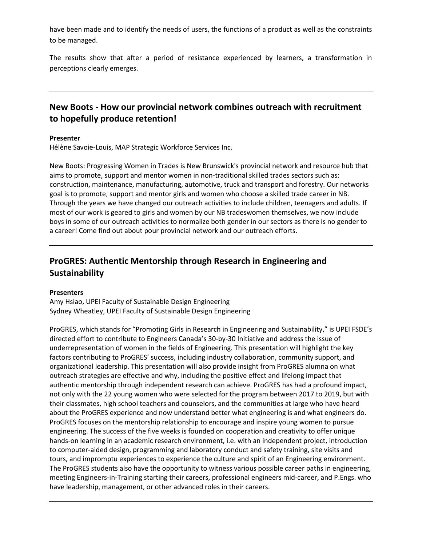have been made and to identify the needs of users, the functions of a product as well as the constraints to be managed.

The results show that after a period of resistance experienced by learners, a transformation in perceptions clearly emerges.

## **New Boots - How our provincial network combines outreach with recruitment to hopefully produce retention!**

#### **Presenter**

Hélène Savoie-Louis, MAP Strategic Workforce Services Inc.

New Boots: Progressing Women in Trades is New Brunswick's provincial network and resource hub that aims to promote, support and mentor women in non-traditional skilled trades sectors such as: construction, maintenance, manufacturing, automotive, truck and transport and forestry. Our networks goal is to promote, support and mentor girls and women who choose a skilled trade career in NB. Through the years we have changed our outreach activities to include children, teenagers and adults. If most of our work is geared to girls and women by our NB tradeswomen themselves, we now include boys in some of our outreach activities to normalize both gender in our sectors as there is no gender to a career! Come find out about pour provincial network and our outreach efforts.

# **ProGRES: Authentic Mentorship through Research in Engineering and Sustainability**

#### **Presenters**

Amy Hsiao, UPEI Faculty of Sustainable Design Engineering Sydney Wheatley, UPEI Faculty of Sustainable Design Engineering

ProGRES, which stands for "Promoting Girls in Research in Engineering and Sustainability," is UPEI FSDE's directed effort to contribute to Engineers Canada's 30-by-30 Initiative and address the issue of underrepresentation of women in the fields of Engineering. This presentation will highlight the key factors contributing to ProGRES' success, including industry collaboration, community support, and organizational leadership. This presentation will also provide insight from ProGRES alumna on what outreach strategies are effective and why, including the positive effect and lifelong impact that authentic mentorship through independent research can achieve. ProGRES has had a profound impact, not only with the 22 young women who were selected for the program between 2017 to 2019, but with their classmates, high school teachers and counselors, and the communities at large who have heard about the ProGRES experience and now understand better what engineering is and what engineers do. ProGRES focuses on the mentorship relationship to encourage and inspire young women to pursue engineering. The success of the five weeks is founded on cooperation and creativity to offer unique hands-on learning in an academic research environment, i.e. with an independent project, introduction to computer-aided design, programming and laboratory conduct and safety training, site visits and tours, and impromptu experiences to experience the culture and spirit of an Engineering environment. The ProGRES students also have the opportunity to witness various possible career paths in engineering, meeting Engineers-in-Training starting their careers, professional engineers mid-career, and P.Engs. who have leadership, management, or other advanced roles in their careers.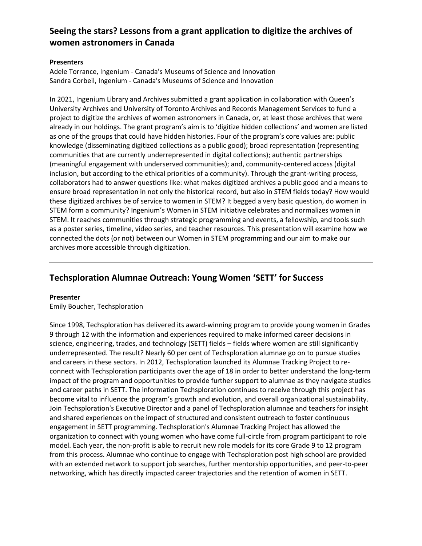# **Seeing the stars? Lessons from a grant application to digitize the archives of women astronomers in Canada**

#### **Presenters**

Adele Torrance, Ingenium - Canada's Museums of Science and Innovation Sandra Corbeil, Ingenium - Canada's Museums of Science and Innovation

In 2021, Ingenium Library and Archives submitted a grant application in collaboration with Queen's University Archives and University of Toronto Archives and Records Management Services to fund a project to digitize the archives of women astronomers in Canada, or, at least those archives that were already in our holdings. The grant program's aim is to 'digitize hidden collections' and women are listed as one of the groups that could have hidden histories. Four of the program's core values are: public knowledge (disseminating digitized collections as a public good); broad representation (representing communities that are currently underrepresented in digital collections); authentic partnerships (meaningful engagement with underserved communities); and, community-centered access (digital inclusion, but according to the ethical priorities of a community). Through the grant-writing process, collaborators had to answer questions like: what makes digitized archives a public good and a means to ensure broad representation in not only the historical record, but also in STEM fields today? How would these digitized archives be of service to women in STEM? It begged a very basic question, do women in STEM form a community? Ingenium's Women in STEM initiative celebrates and normalizes women in STEM. It reaches communities through strategic programming and events, a fellowship, and tools such as a poster series, timeline, video series, and teacher resources. This presentation will examine how we connected the dots (or not) between our Women in STEM programming and our aim to make our archives more accessible through digitization.

# **Techsploration Alumnae Outreach: Young Women 'SETT' for Success**

#### **Presenter**

Emily Boucher, Techsploration

Since 1998, Techsploration has delivered its award-winning program to provide young women in Grades 9 through 12 with the information and experiences required to make informed career decisions in science, engineering, trades, and technology (SETT) fields – fields where women are still significantly underrepresented. The result? Nearly 60 per cent of Techsploration alumnae go on to pursue studies and careers in these sectors. In 2012, Techsploration launched its Alumnae Tracking Project to reconnect with Techsploration participants over the age of 18 in order to better understand the long-term impact of the program and opportunities to provide further support to alumnae as they navigate studies and career paths in SETT. The information Techsploration continues to receive through this project has become vital to influence the program's growth and evolution, and overall organizational sustainability. Join Techsploration's Executive Director and a panel of Techsploration alumnae and teachers for insight and shared experiences on the impact of structured and consistent outreach to foster continuous engagement in SETT programming. Techsploration's Alumnae Tracking Project has allowed the organization to connect with young women who have come full-circle from program participant to role model. Each year, the non-profit is able to recruit new role models for its core Grade 9 to 12 program from this process. Alumnae who continue to engage with Techsploration post high school are provided with an extended network to support job searches, further mentorship opportunities, and peer-to-peer networking, which has directly impacted career trajectories and the retention of women in SETT.